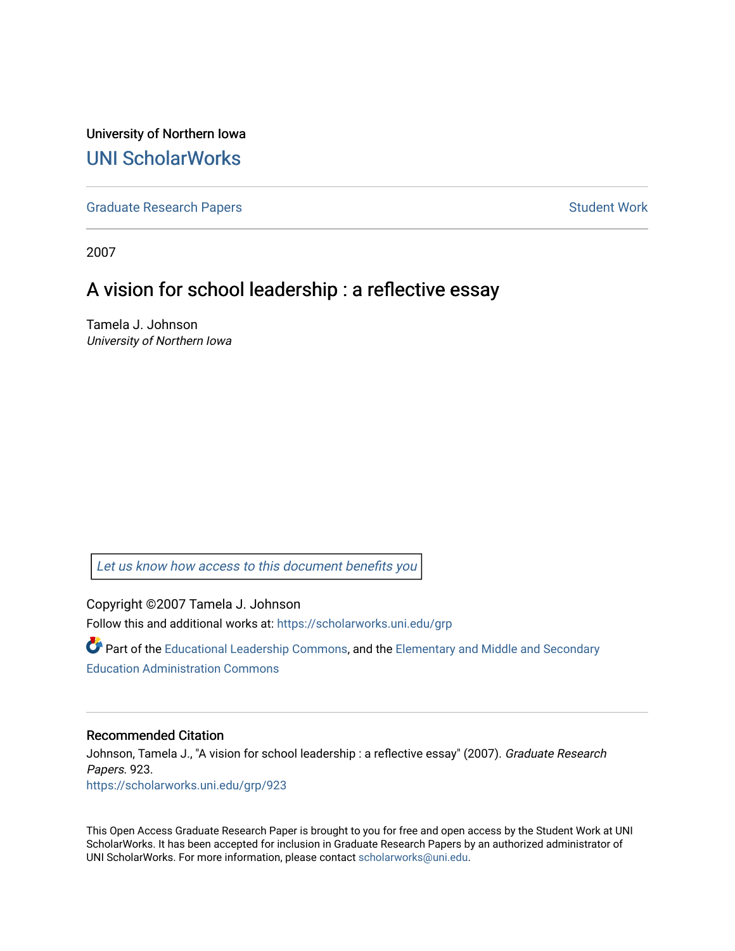University of Northern Iowa [UNI ScholarWorks](https://scholarworks.uni.edu/) 

[Graduate Research Papers](https://scholarworks.uni.edu/grp) **Student Work** Student Work

2007

### A vision for school leadership : a reflective essay

Tamela J. Johnson University of Northern Iowa

[Let us know how access to this document benefits you](https://scholarworks.uni.edu/feedback_form.html) 

Copyright ©2007 Tamela J. Johnson Follow this and additional works at: [https://scholarworks.uni.edu/grp](https://scholarworks.uni.edu/grp?utm_source=scholarworks.uni.edu%2Fgrp%2F923&utm_medium=PDF&utm_campaign=PDFCoverPages) 

Part of the [Educational Leadership Commons,](http://network.bepress.com/hgg/discipline/1230?utm_source=scholarworks.uni.edu%2Fgrp%2F923&utm_medium=PDF&utm_campaign=PDFCoverPages) and the Elementary and Middle and Secondary [Education Administration Commons](http://network.bepress.com/hgg/discipline/790?utm_source=scholarworks.uni.edu%2Fgrp%2F923&utm_medium=PDF&utm_campaign=PDFCoverPages) 

#### Recommended Citation

Johnson, Tamela J., "A vision for school leadership : a reflective essay" (2007). Graduate Research Papers. 923. [https://scholarworks.uni.edu/grp/923](https://scholarworks.uni.edu/grp/923?utm_source=scholarworks.uni.edu%2Fgrp%2F923&utm_medium=PDF&utm_campaign=PDFCoverPages) 

This Open Access Graduate Research Paper is brought to you for free and open access by the Student Work at UNI ScholarWorks. It has been accepted for inclusion in Graduate Research Papers by an authorized administrator of UNI ScholarWorks. For more information, please contact [scholarworks@uni.edu.](mailto:scholarworks@uni.edu)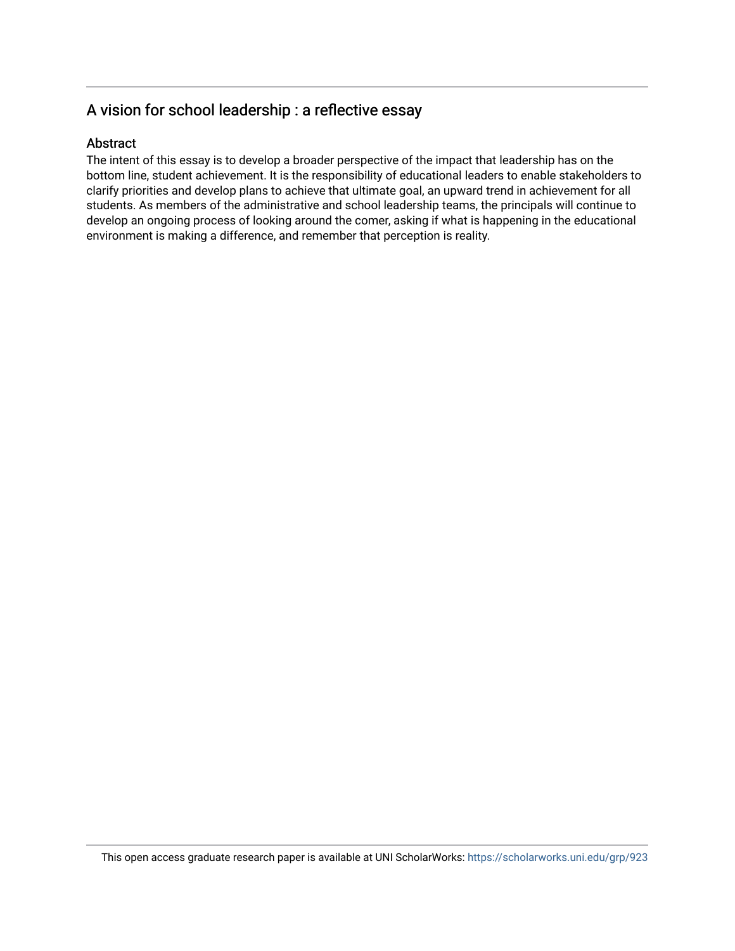### A vision for school leadership : a reflective essay

#### Abstract

The intent of this essay is to develop a broader perspective of the impact that leadership has on the bottom line, student achievement. It is the responsibility of educational leaders to enable stakeholders to clarify priorities and develop plans to achieve that ultimate goal, an upward trend in achievement for all students. As members of the administrative and school leadership teams, the principals will continue to develop an ongoing process of looking around the comer, asking if what is happening in the educational environment is making a difference, and remember that perception is reality.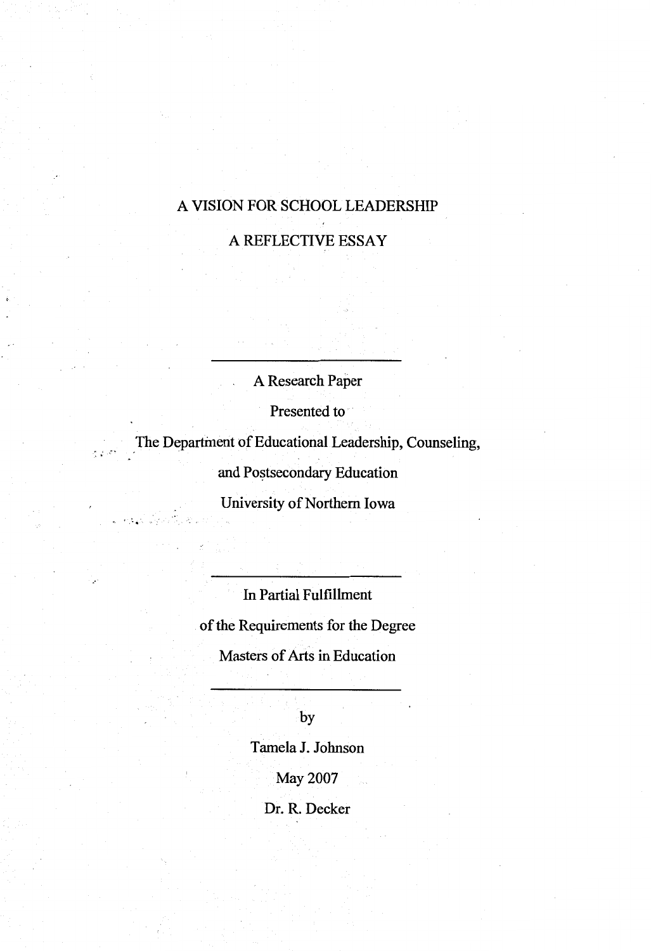#### A VISION FOR SCHOOL LEADERSHIP

A REFLECTIVE ESSAY

A Research Paper

Presented to

The Department of Educational Leadership, Counseling,

and Postsecondary Education

University of Northern Iowa

 $, , , \cdot$ 

In Partial Fulfillment of the Requirements for the Degree Masters of Arts in Education

by

Tamela J. Johnson

May2007

Dr. R. Decker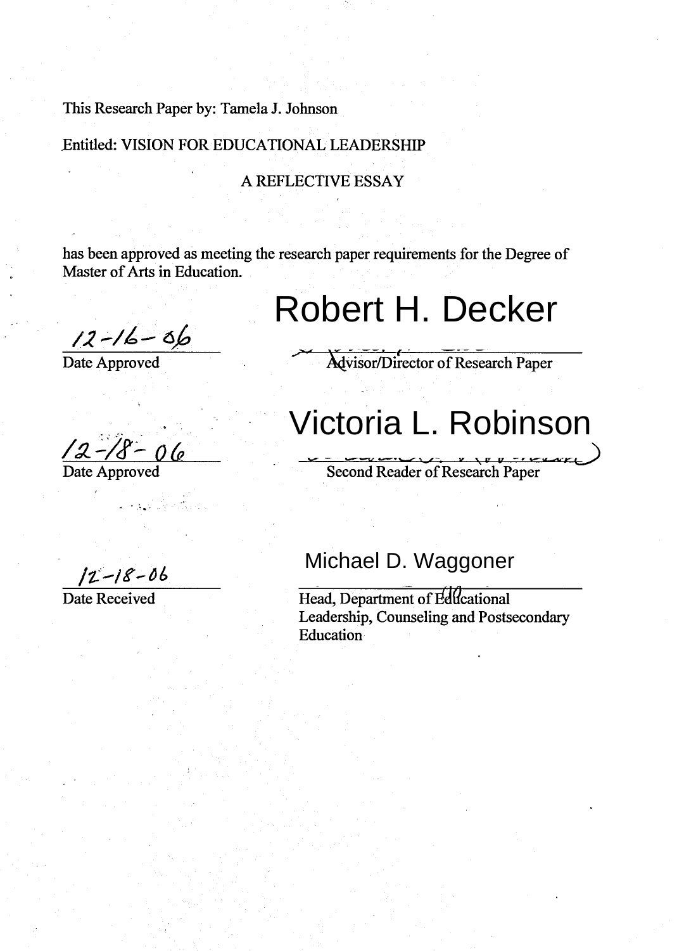#### This Research Paper by: Tamela J. Johnson

#### .Entitled: VISION FOR EDUCATIONAL LEADERSHIP

#### A REFLECTIVE ESSAY

has been approved as meeting the research paper requirements for the Degree of Master of Arts in Education.

 $\frac{12-\sqrt{6}-86}{\text{Date}{\text{ Approved}}}$ 

## Robert H. Decker

Advisor/Director of Research Paper

12 - 18 - 06

Date Approved

# Victoria L. Robinson

Second Reader of Research Paper

 $12 - 18 - 06$ 

Date Received

Michael D. Waggoner

Head, Department of Educational Leadership, Counseling and Postsecondary Education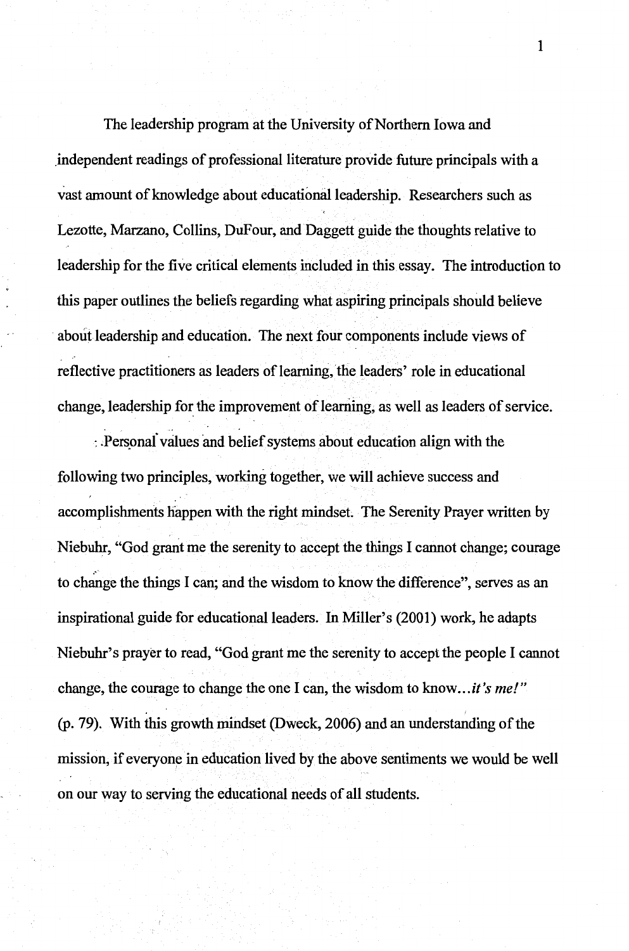The leadership program at the University of Northern Iowa and .independent readings of professional literature provide future principals with a vast amount of knowledge about educational leadership. Researchers such as Lezotte, Marzano, Collins, DuFour, and Daggett guide the thoughts relative to leadership for the five critical elements included in this essay. The introduction to this paper outlines the beliefs regarding what aspiring principals should believe about leadership and education. The next four components include views of reflective practitioners as leaders of learning, the leaders' role in educational change, leadership for the improvement of leaniing, as well as leaders of service.

<sup>~</sup>. . .

: Personal values and belief systems about education align with the following two principles, working together, we will achieve success and accomplishments happen with the right mindset. The Serenity Prayer written by Niebuhr, "God grant me the serenity to accept the things I cannot change; courage to change the things I can; and the wisdom to know the difference", serves as an inspirational guide for educational leaders. In Miller's (2001) work, he adapts Niebuhr's prayer to read, "God grant me the serenity to accept the people I cannot change, the courage to change the one I can, the wisdom to *know .. .it's me!"*  (p. 79). With this growth mindset (Dweck, 2006) and an understanding of the mission, if everyone in education lived by the above sentiments we would be well on our way to serving the educational needs of all students.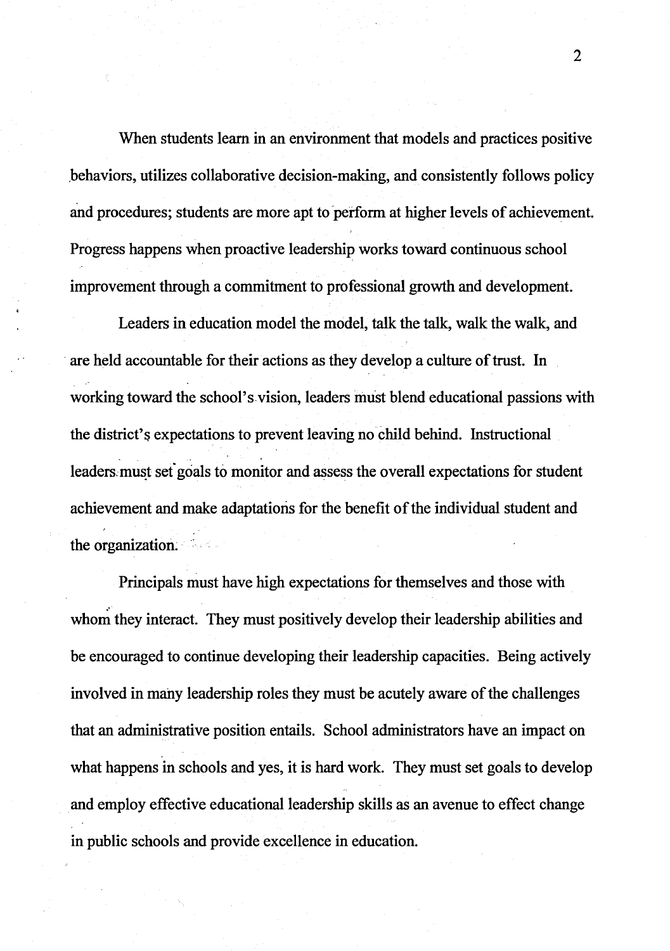When students learn in an environment that models and practices positive .behaviors, utilizes collaborative decision-making, and consistently follows policy and procedures; students are more apt to perform at higher levels of achievement. Progress happens when proactive leadership works toward continuous school improvement through a commitment to professional growth and development.

Leaders in education model the model, talk the talk, walk the walk, and are held accountable for their actions as they develop a culture of trust. In working toward the school's.vision, leaders must blend educational passions with the district's expectations to prevent leaving no child behind. Instructional leaders must set goals to monitor and assess the overall expectations for student achievement and make adaptations for the benefit of the individual student and the organization.

Principals must have high expectations for themselves and those with whom they interact. They must positively develop their leadership abilities and be encouraged to continue developing their leadership capacities. Being actively involved in many leadership roles they must be acutely aware of the challenges that an administrative position entails. School administrators have an impact on what happens in schools and yes, it is hard work. They must set goals to develop and employ effective educational leadership skills as an avenue to effect change in public schools and provide excellence in education.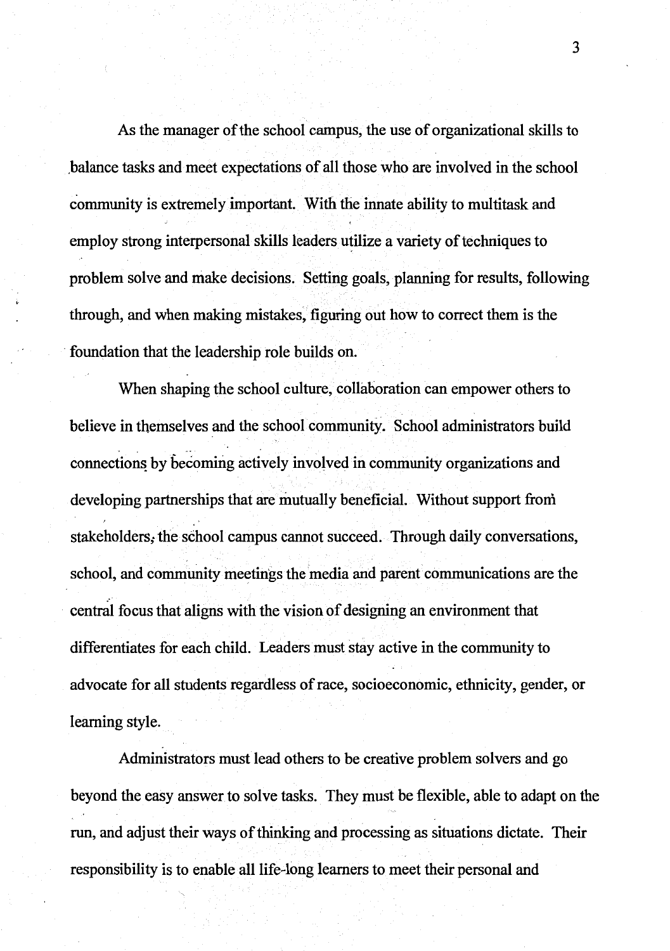As the manager of the school campus, the use of organizational skills to ,balance tasks and meet expectations of all those who are involved in the school community is extremely important. With the innate ability to multitask and employ strong interpersonal skills leaders utilize a variety of techniques to problem solve and make decisions. Setting goals, planning for results, following through, and when making mistakes, figuring out how to correct them is the foundation that the leadership role builds on.

When shaping the school culture, collaboration can empower others to believe in themselves and the school community. School administrators build connections by becoming actively involved in community organizations and developing partnerships that are mutually beneficial. Without support from stakeholders; the school campus cannot succeed. Through daily conversations, school, and community meetings the media and parent communications are the central focus that aligns with the vision of designing an environment that differentiates for each child. Leaders must stay active in the community to advocate for all students regardless of race, socioeconomic, ethnicity, gender, or learning style.

Administrators must lead others to be creative problem solvers and go beyond the easy answer to solve tasks. They must be flexible, able to adapt on the run, and adjust their ways of thinking and processing as situations dictate. Their responsibility is to enable all life-long learners to meet their personal and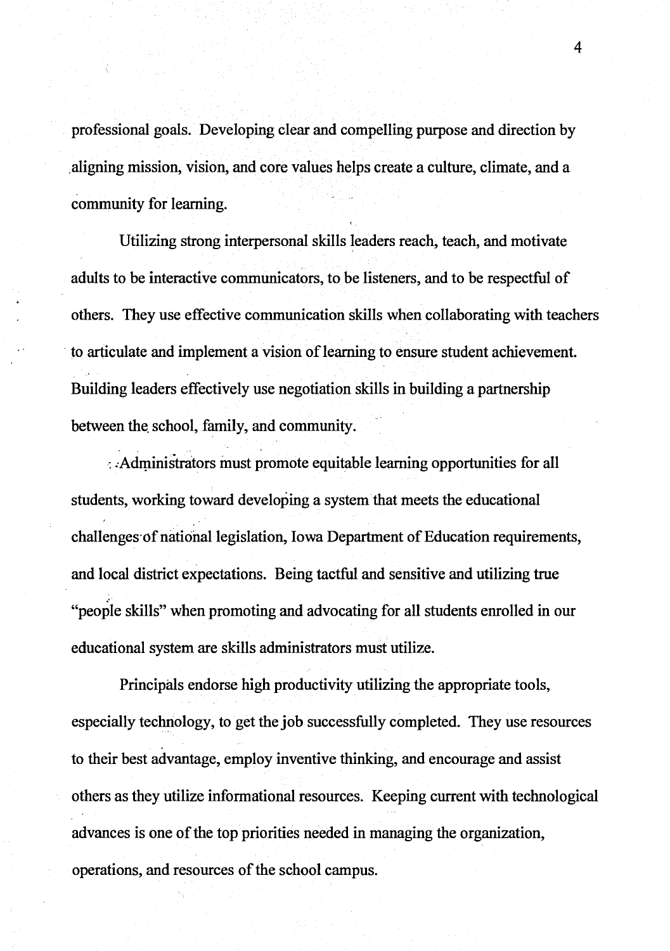professional goals. Developing clear and compelling purpose and direction by .aligning mission, vision, and core values helps create a culture, climate, and a community for learning.

Utilizing strong interpersonal skills leaders reach, teach, and motivate adults to be interactive communicators, to be listeners, and to be respectful of others. They use effective communication skills when collaborating with teachers to articulate and implement a vision of learning to ensure student achievement. Building leaders effectively use negotiation skills in building a partnership between the school, family, and community.

 $\therefore$  Administrators must promote equitable learning opportunities for all students, working toward developing a system that meets the educational challenges of national legislation, Iowa Department of Education requirements, and local district expectations. Being tactful and sensitive and utilizing true "people skills" when promoting and advocating for all students enrolled in our educational system are skills administrators must utilize.

Principals endorse high productivity utilizing the appropriate tools, especially technology, to get the job successfully completed. They use resources to their best advantage, employ inventive thinking, and encourage and assist others as they utilize informational resources. Keeping current with technological advances is one of the top priorities needed in managing the organization, operations, and resources of the school campus.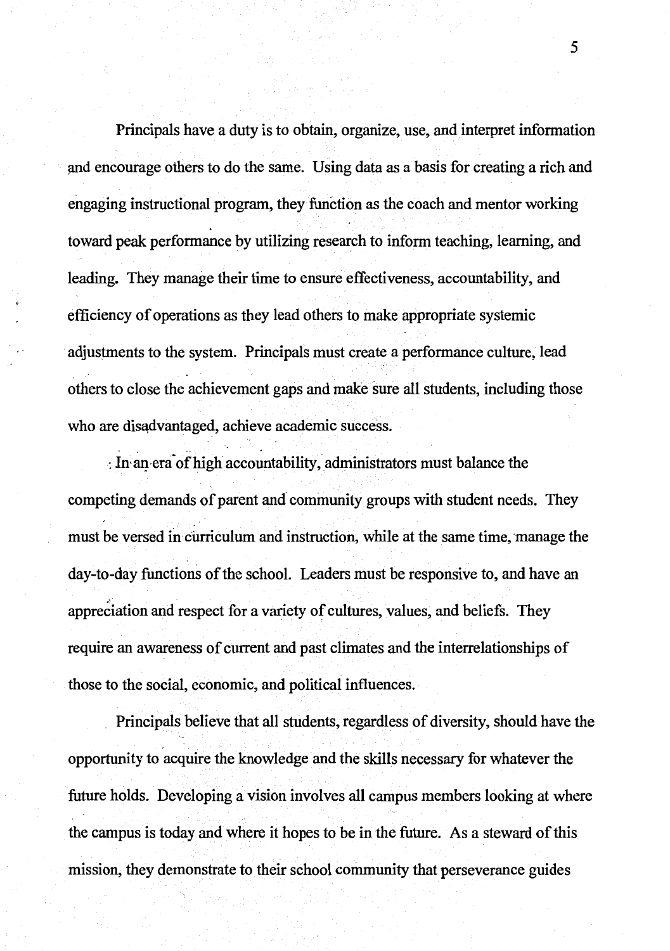Principals have a duty is to obtain, organize, use, and interpret information and encourage others to do the same. Using data as a basis for creating a rich and engaging instructional program, they function as the coach and mentor working toward peak performance by utilizing research to inform teaching, learning, and leading. They manage their time to ensure effectiveness, accountability, and efficiency of operations as they lead others to make appropriate systemic adjustments to the system. Principals must create a performance culture, lead others to close the achievement gaps and make sure all students, including those who are disadvantaged, achieve academic success.

 $\cdot$ : In an era of high accountability, administrators must balance the competing demands of parent and community groups with student needs. They must be versed in curriculum and instruction, while at the same time, manage the day-to-day functions of the school. Leaders must be responsive to, and have an appreciation and respect for a variety of cultures, values, and beliefs. They require an awareness of current and past climates and the interrelationships of those to the social, economic, and political influences.

Principals believe that all students, regardless of diversity, should have the opportunity to acquire the knowledge and the skiHs necessary for whatever the future holds. Developing a vision involves all campus members looking at where the campus is today and where it hopes to be in the future. As a steward of this mission, they demonstrate to their school community that perseverance guides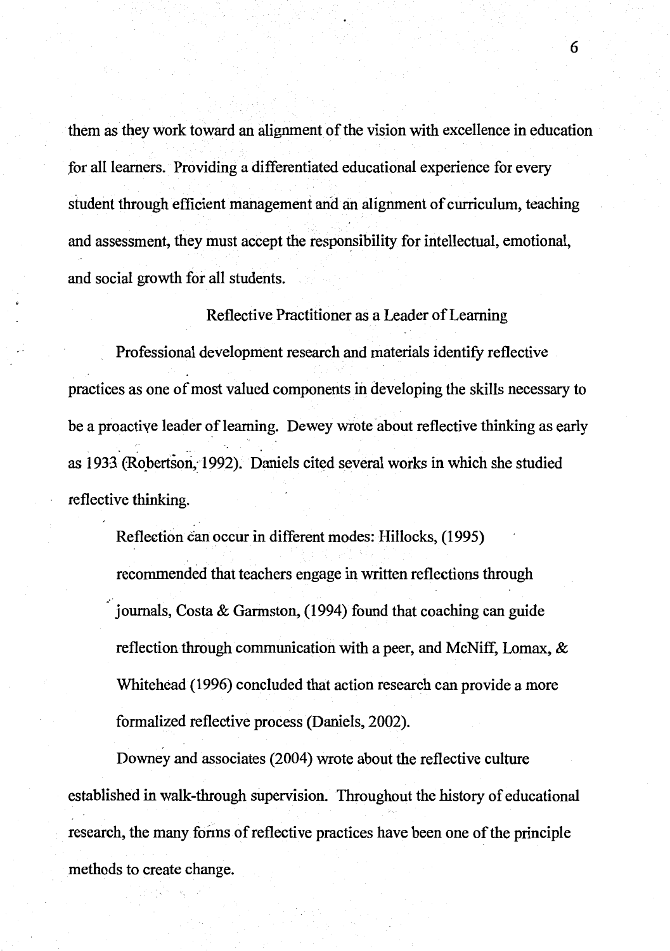them as they work toward an alignment of the vision with excellence in education for all learners. Providing a differentiated educational experience for every student through efficient management and an alignment of curriculum, teaching and assessment, they must accept the responsibility for intellectual, emotional, and social growth for all students.

Reflective Practitioner as a Leader of Learning

Professional development research and materials identify reflective practices as one of most valued components in developing the skills necessary to be a proactive leader of learning. Dewey wrote about reflective thinking as early as 1933. (Robertson, 1992). Daniels cited several works in which she studied reflective thinking.

Reflection can occur in different modes: Hillocks, (1995)

recommended that teachers engage in written reflections through journals, Costa & Garmston, (1994) found that coaching can guide reflection through communication with a peer, and McNiff, Lomax, & Whitehead (1996) concluded that action research can provide a more formalized reflective process (Daniels, 2002).

Downey and associates (2004) wrote about the reflective culture established in walk-through supervision. Throughout the history of educational research, the many forms of reflective practices have been one of the principle methods to create change.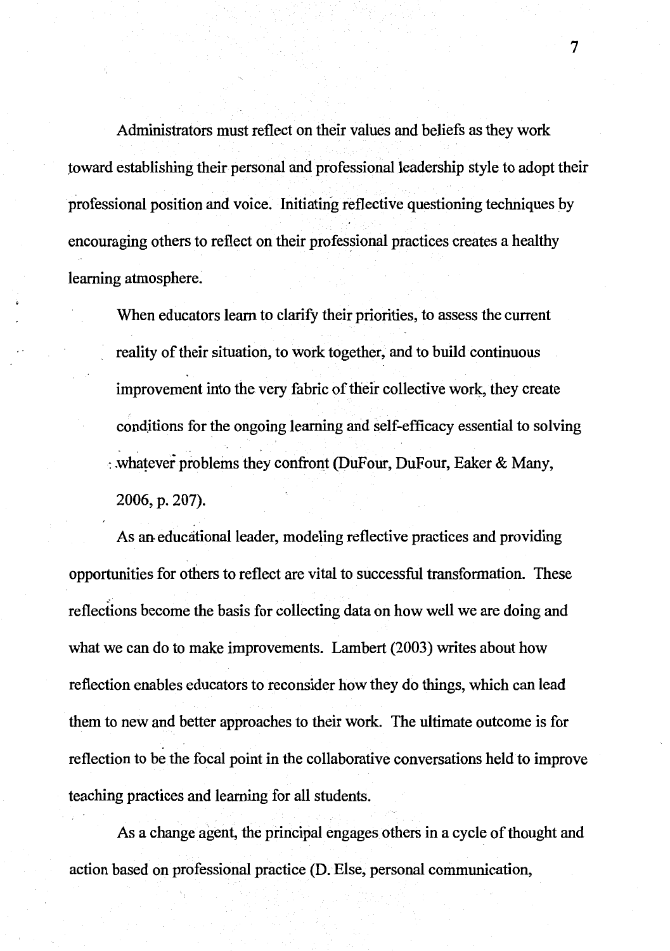Administrators must reflect on their values and beliefs as they work \_toward establishing their personal and professional leadership style to adopt their professional position and voice. Initiating reflective questioning techniques by encouraging others to reflect on their professional practices creates a healthy learning atmosphere.

When educators learn to clarify their priorities, to assess the current reality of their situation, to work together, and to build continuous improvement into the very fabric of their collective work, they create conditions for the ongoing learning and self-efficacy essential to solving : .whatever problems they confront (DuFour, DuFour, Eaker & Many, 2006, p. 207).

As an educational leader, modeling reflective practices and providing opportunities for others to reflect are vital to successful transformation. These reflections become the basis for collecting data on how well we are doing and what we can do to make improvements. Lambert (2003) writes about how reflection enables educators to reconsider how they do things, which can lead them to new and better approaches to their work. The ultimate outcome is for reflection to be the focal point in the collaborative conversations held to improve teaching practices and learning for all students.

As a change agent, the principal engages others in a cycle of thought and action based on professional practice (D. Else, personal communication,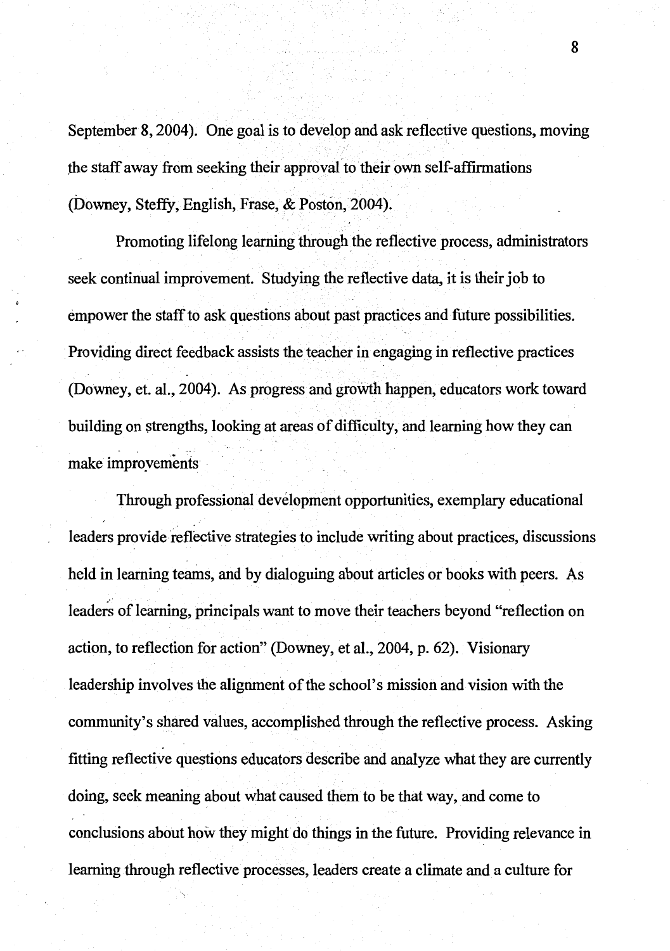September 8, 2004). One goal is to develop and ask reflective questions, moving the staff away from seeking their approval to their own self-affirmations (Downey, Steffy, English, Frase, & Poston,2004).

Promoting lifelong learning through the reflective process, administrators seek continual improvement. Studying the reflective data, it is their job to empower the staff to ask questions about past practices and future possibilities. Providing direct feedback assists the teacher in engaging in reflective practices (Downey, et. al., 2004). As progress and growth happen, educators work toward building on strengths, looking at areas of difficulty, and learning how they can make improvements

Through professional development opportunities, exemplary educational leaders provide reflective strategies to include writing about practices, discussions held in learning teams, and by dialoguing about articles or books with peers. As leaders of learning, principals want to move their teachers beyond "reflection on action, to reflection for action" (Downey, et al., 2004, p. 62). Visionary leadership involves the alignment of the school's mission and vision with the community's shared values, accomplished through the reflective process. Asking fitting reflective questions educators describe and analyze what they are currently doing, seek meaning about what caused them to be that way, and come to conclusions about how they might do things in the future. Providing relevance in learning through reflective processes, leaders create a climate and a culture for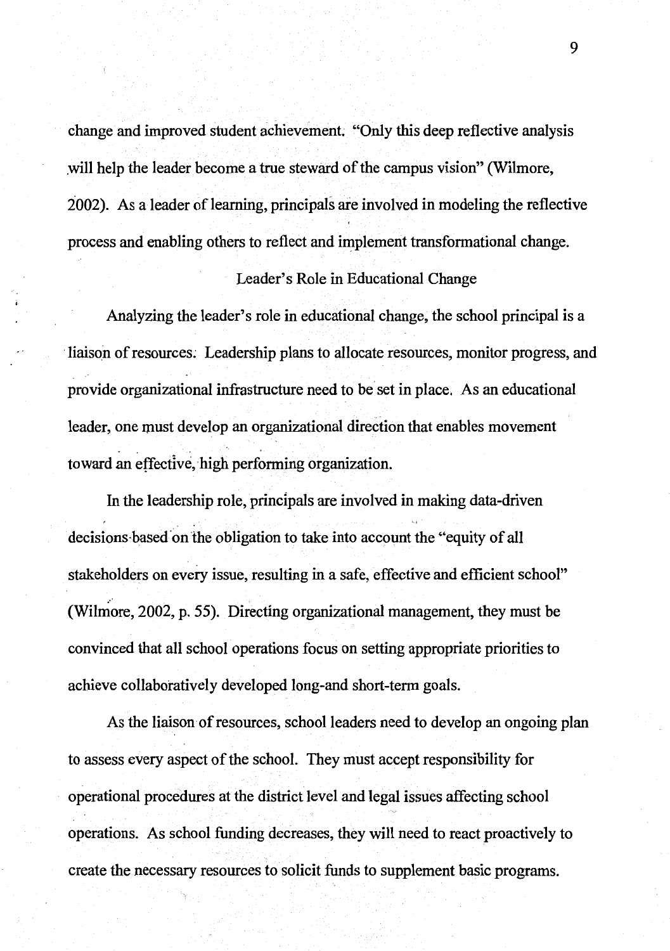change and improved student achievement. "Only this deep reflective analysis .will help the leader become a true steward of the campus vision" (Wilmore, 2002). As a leader of learning, principals are involved in modeling the reflective process and enabling others to reflect and implement transformational change.

#### Leader's Role in Educational Change

Analyzing the leader's role in educational change, the school principal is a liaison of resources. Leadership plans to allocate resources, monitor progress, and provide organizational infrastructure need to be set in place. As an educational leader, one must develop an organizational direction that enables movement . . toward an effective, high performing organization.

In the leadership role, principals are involved in making data-driven decisions-based on the obligation to take into account the "equity of all stakeholders on every issue, resulting in a safe, effective and efficient school" (Wilmore, 2002, p. 55). Directing organizational management, they must be convinced that all school operations focus on setting appropriate priorities to achieve collaboratively developed long-and short-term goals.

As the liaison of resources, school leaders need to develop an ongoing plan to assess every aspect of the school. They must accept responsibility for operational procedures at the district level and legal issues affecting school operations. As school funding decreases, they will need to react proactively to create the necessary resources to solicit funds to supplement basic programs.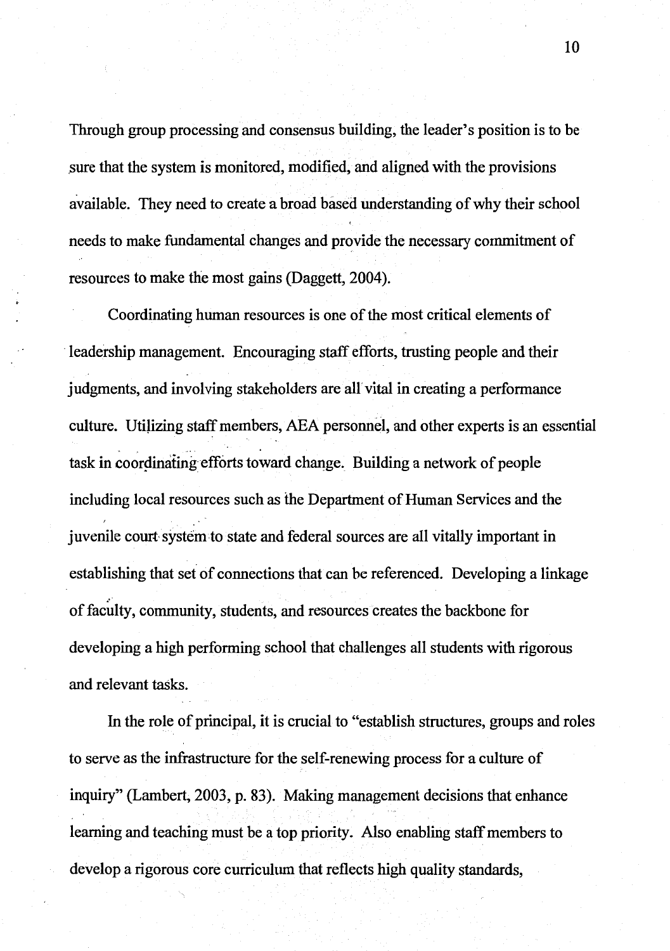Through group processing and consensus building, the leader's position is to be .sure that the system is monitored, modified, and aligned with the provisions available. They need to create a broad based understanding of why their school needs to make fundamental changes and provide the necessary commitment of resources to make the most gains (Daggett, 2004).

Coordinating human resources is one of the most critical elements of leadership management. Encouraging staff efforts, trusting people and their judgments, and involving stakeholders are all vital in creating a performance culture. Utilizing staff members, AEA personnel, and other experts is an essential task in coordinating efforts toward change. Building a network of people including local resources such as the Department of Human Services and the juvenile court system to state and federal sources are all vitally important in establishing that set of connections that can be referenced. Developing a linkage of faculty, community, students, and resources creates the backbone for developing a high performing school that challenges all students with rigorous and relevant tasks.

In the role of principal, it is crucial to "establish structures, groups and roles to serve as the infrastructure for the self-renewing process for a culture of inquiry" (Lambert, 2003, p. 83). Making management decisions that enhance learning and teaching must be a top priority. Also enabling staff members to develop a rigorous core curriculum that reflects high quality standards,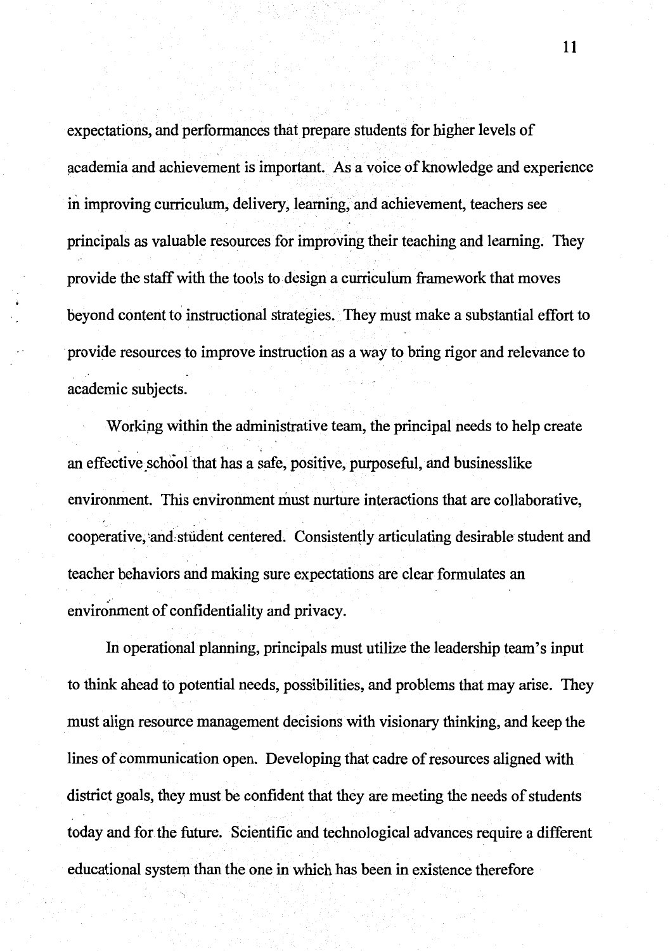expectations, and performances that prepare students for higher levels of academia and achievement is important. As a voice of knowledge and experience in improving curriculum, delivery, learning, and achievement, teachers see principals as valuable resources for improving their teaching and learning. They provide the staff with the tools to design a curriculum framework that moves beyond content to instructional strategies. They must make a substantial effort to · provide resources to improve instruction as a way to bring rigor and relevance to academic subjects.

Working within the administrative team, the principal needs to help create an effective school that has a safe, positive, purposeful, and businesslike environment. This environment must nurture interactions that are collaborative, cooperative, 'and,stiident centered. Consistently articulating desirable student and teacher behaviors and making sure expectations are clear formulates an environment of confidentiality and privacy.

In operational planning, principals must utilize the leadership team's input to think ahead to potential needs, possibilities, and problems that may arise. They must align resource management decisions with visionary thinking, and keep the lines of communication open. Developing that cadre of resources aligned with district goals, they must be confident that they are meeting the needs of students today and for the future. Scientific and technological advances require a different educational system than the one in which has been in existence therefore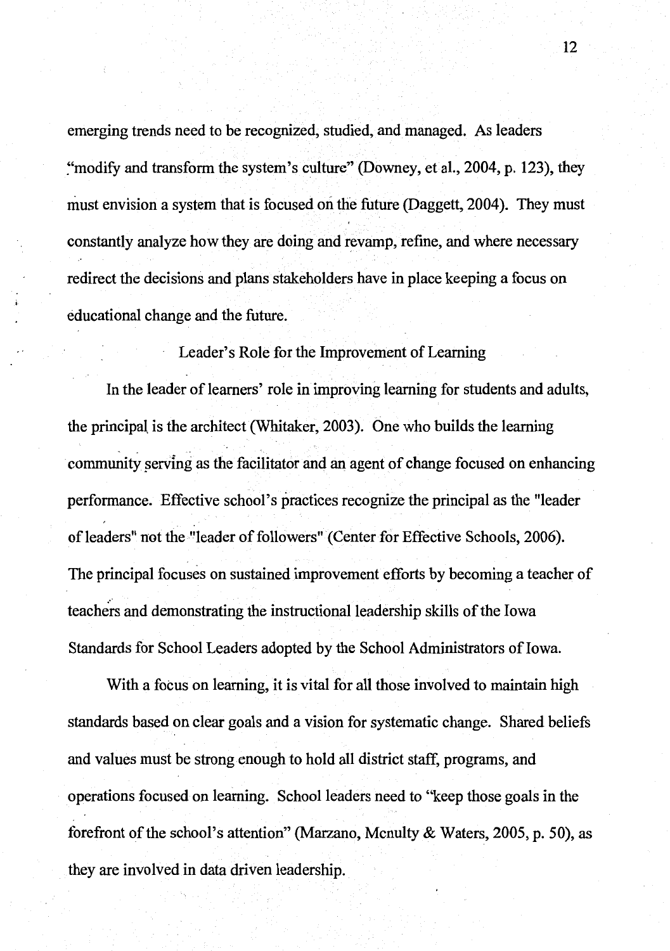emerging trends need to be recognized, studied, and managed. As leaders ~'modify and transform the system's culture" (Downey, et al., 2004, p. 123), they must envision a system that is focused on the future (Daggett, 2004). They must constantly analyze how they are doing and revamp, refine, and where necessary redirect the decisions and plans stakeholders have in place keeping a focus on educational change and the future.

Leader's Role for the Improvement of Learning

In the leader of learners' role in improving learning for students and adults, the principal is the architect (Whitaker, 2003). One who builds the learning community serving as the facilitator and an agent of change focused on enhancing performance. Effective school's practices recognize the principal as the "leader of leaders" not the "leader of followers" (Center for Effective Schools, 2006). The principal focuses on sustained improvement efforts by becoming a teacher of teachers and demonstrating the instructional leadership skills of the Iowa Standards for School Leaders adopted by the School Administrators of Iowa.

With a focus on learning, it is vital for all those involved to maintain high standards based on clear goals and a vision for systematic change. Shared beliefs and values must be strong enough to hold all district staff, programs, and operations focused on learning. School leaders need to "keep those goals in the forefront of the school's attention" (Marzano, Mcnulty & Waters, 2005, p. 50), as they are involved in data driven leadership.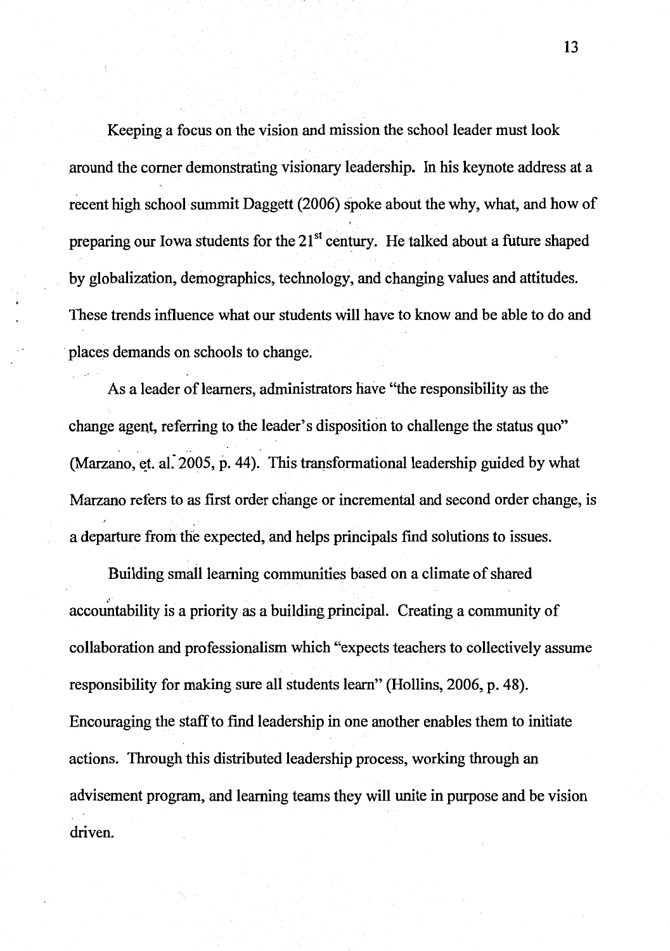Keeping a focus on the vision and mission the school leader must look .around the comer demonstrating visionary leadership. In his keynote address at a recent high school summit Daggett (2006) spoke about the why, what, and how of preparing our Iowa students for the  $21<sup>st</sup>$  century. He talked about a future shaped by globalization, demographics, technology, and changing values and attitudes. These trends influence what our students will have to know and be able to do and places demands on schools to change.

As a leader of learners, administrators have "the responsibility as the change agent, referring to the leader's disposition to challenge the status quo" (Marzano, et. al. 2005, p. 44). This transformational leadership guided by what Marzano refers to as first order change or incremental and second order change, is a departure from the expected, and helps principals find solutions to issues.

Building smail learning communities based on a climate of shared accountability is a priority as a building principal. Creating a community of collaboration and professionalism which "expects teachers to collectively assume responsibility for making sure all students learn" (Hollins, 2006, p. 48). Encouraging the staff to find leadership in one another enables them to initiate actions. Through this distributed leadership process, working through an advisement program, and learning teams they will unite in purpose and be vision driven.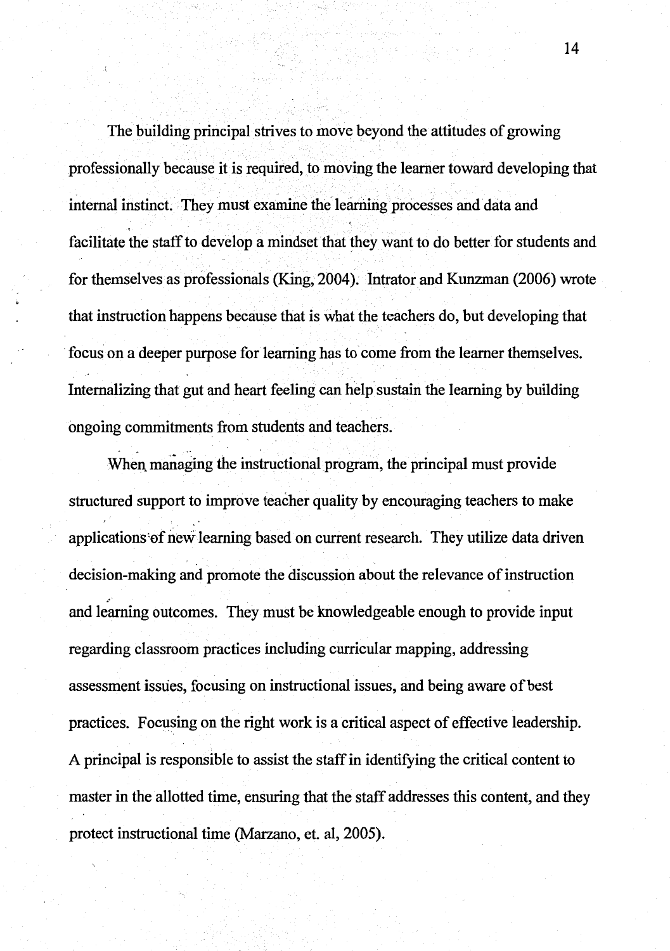The building principal strives to move beyond the attitudes of growing professionally because it is required, to moving the learner toward developing that internal instinct. They must examine the learning processes and data and facilitate the staff to develop a mindset that they want to do better for students and for themselves as professionals (King, 2004). Intrator and Kunzman (2006) wrote that instruction happens because that is what the teachers do, but developing that focus on a deeper purpose for learning has to come from the learner themselves. Internalizing that gut and heart feeling can help sustain the learning by building ongoing commitments from students and teachers.

When managing the instructional program, the principal must provide structured support to improve teacher quality by encouraging teachers to make applications'of new learning based on current research. They utilize data driven decision-making and promote the discussion about the relevance of instruction and learning outcomes. They must be knowledgeable enough to provide input regarding classroom practices including curricular mapping, addressing assessment issues, focusing on instructional issues, and being aware of best practices. Focusing on the right work is a critical aspect of effective leadership. A principal is responsible to assist the staff in identifying the critical content to master in the allotted time, ensuring that the staff addresses this content, and they protect instructional time (Marzano, et. al, 2005).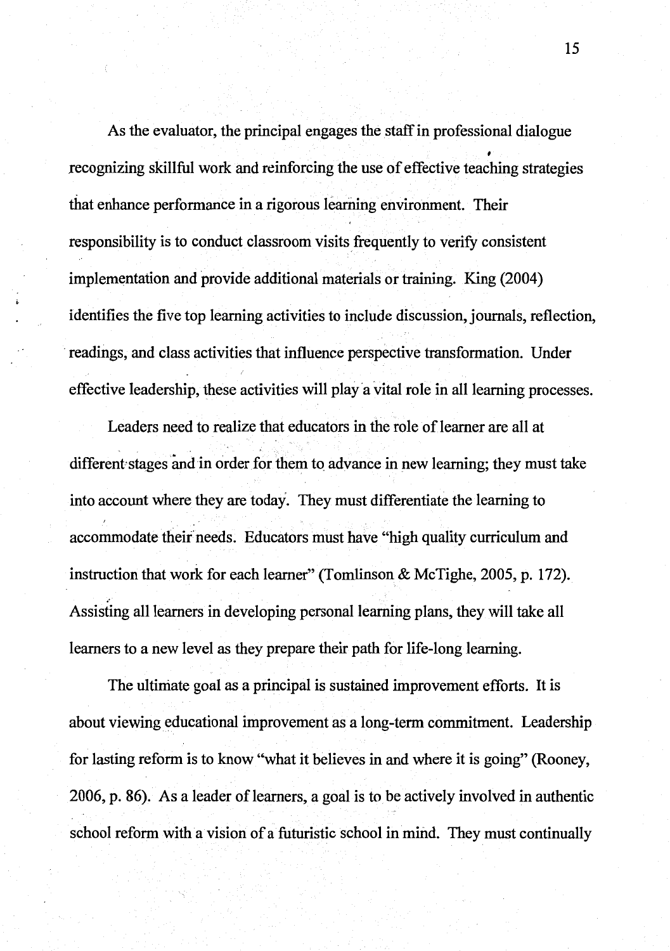As the evaluator, the principal engages the staff in professional dialogue recognizing skillful work and reinforcing the use of effective teaching strategies that enhance performance in a rigorous learning environment. Their responsibility is to conduct classroom visits frequently to verify consistent implementation and provide additional materials or training. King (2004) identifies the five top learning activities to include discussion, journals, reflection, readings, and class activities that influence perspective transformation. Under effective leadership, these activities will play a vital role in all learning processes.

Leaders need to realize that educators in the role of learner are all at different stages and in order for them to advance in new learning; they must take into account where they are today. They must differentiate the learning to accommodate their needs. Educators must have "high quality curriculum and instruction that work for each learner" (Tomlinson & McTighe, 2005, p. 172). Assisting all learners in developing personal learning plans, they will take all learners to a new level as they prepare their path for life-long learning.

The ultimate goal as a principal is sustained improvement efforts. It is about viewing educational improvement as a long-term commitment. Leadership for lasting reform is to know "what it believes in and where it is going" (Rooney, 2006, p. 86). As a leader of learners, a goal is to be actively involved in authentic school reform with a vision of a futuristic school in mind. They must continually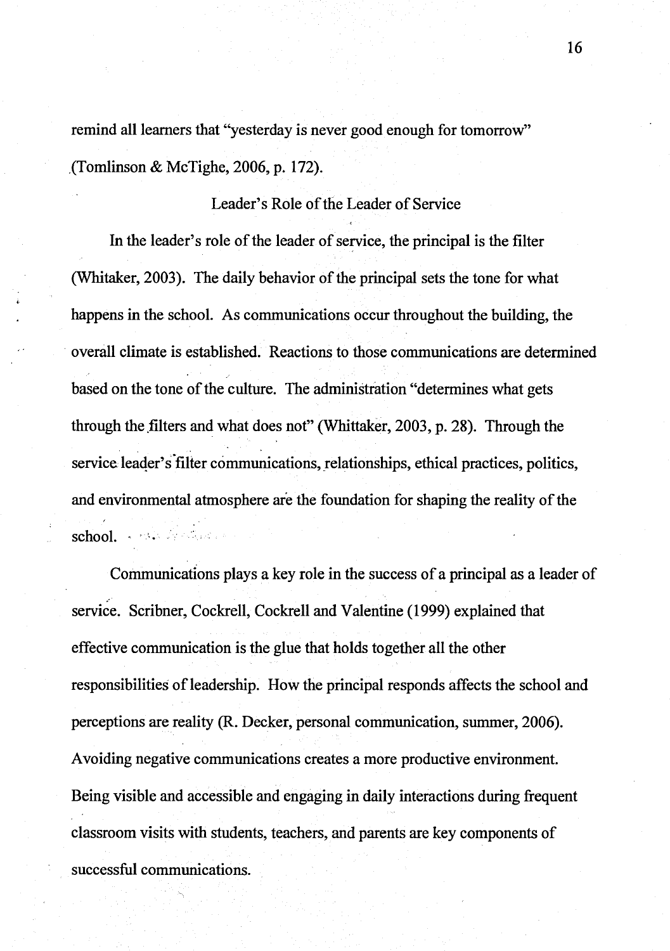remind all learners that "yesterday is never good enough for tomorrow" .(Tomlinson & McTighe, 2006, p. 172).

#### Leader's Role of the Leader of Service

In the leader's role of the leader of service, the principal is the filter (Whitaker, 2003). The daily behavior of the principal sets the tone for what happens in the school. As communications occur throughout the building, the overall climate is established. Reactions to those communications are determined based on the tone of the culture. The administration "determines what gets through the.filters and what does not" (Whittaker, 2003, p. 28). Through the . . . . service leader's filter communications, relationships, ethical practices, politics, and environmental atmosphere are the foundation for shaping the reality of the school. , · .'·.

Communications plays a key role in the success of a principal as a leader of service. Scribner, Cockrell, Cockrell and Valentine (1999) explained that effective communication is the glue that holds together all the other responsibilities of leadership. How the principal responds affects the school and perceptions are reality (R. Decker, personal communication, summer, 2006). Avoiding negative communications creates a more productive environment. Being visible and accessible and engaging in daily interactions during frequent classroom visits with students, teachers, and parents are key components of successful communications.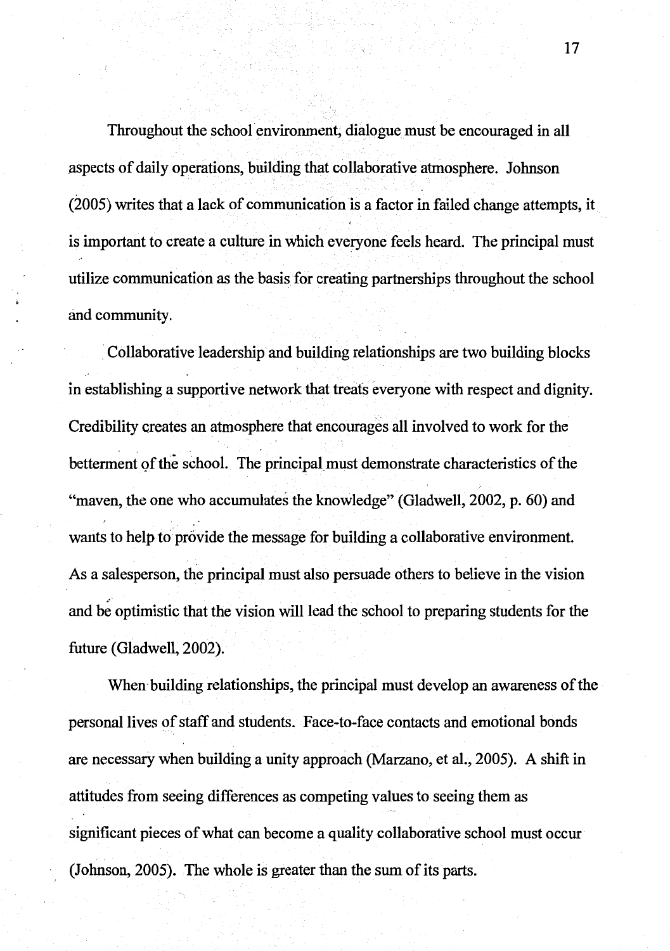Throughout the school environment, dialogue must be encouraged in all aspects of daily operations, building that collaborative atmosphere. Johnson (2005) writes that a lack of communication is a factor in failed change attempts, it is important to create a culture in which everyone feels heard. The principal must utilize communication as the basis for creating partnerships throughout the school and community.

\_ Collaborative leadership and building relationships are two building blocks in establishing a supportive network that treats everyone with respect and dignity. Credibility creates an atmosphere that encourages all involved to work for the betterment of the school. The principal must demonstrate characteristics of the "maven, the one who accumulates the knowledge" (Gladwell, 2002, p. 60) and wants to help to provide the message for building a collaborative environment. As a salesperson, the principal must also persuade others to believe in the vision and be optimistic that the vision will lead the school to preparing students for the future (Gladwell, 2002).

When building relationships, the principal must develop an awareness of the personal lives of staff and students. Face-to-face contacts and emotional bonds are necessary when building a unity approach (Marzano, et al., 2005). A shift in attitudes from seeing differences as competing values to seeing them as significant pieces of what can become a quality collaborative school must occur (Johnson, 2005). The whole is greater than the sum of its parts.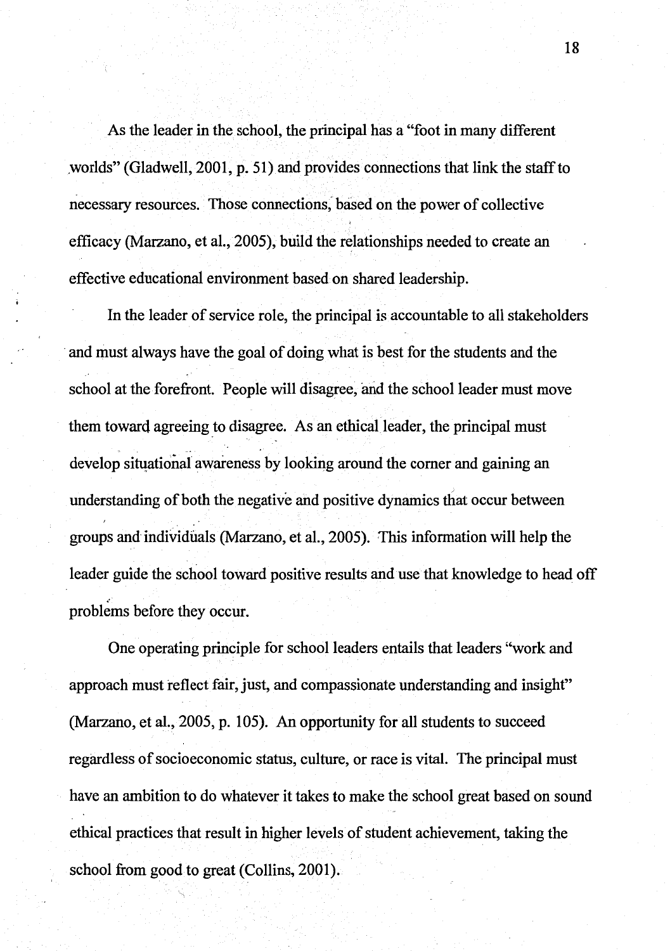As the leader in the school, the principal has a "foot in many different worlds" (Gladwell, 2001, p. 51) and provides connections that link the staff to necessary resources. Those connections, based on the power of collective efficacy (Marzano, et al., 2005), build the relationships needed to create an effective educational environment based on shared leadership.

In the leader of service role, the principal is accountable to all stakeholders and must always have the goal of doing what is best for the students and the school at the forefront. People will disagree, and the school leader must move them toward agreeing to disagree. As an ethical leader, the principal must .. . develop situational awareness by looking around the corner and gaining an understanding of both the negative and positive dynamics that occur between groups and individuals (Marzano, et al., 2005). This information will help the leader guide the school toward positive results and use that knowledge to head off problems before they occur.

One operating principle for school leaders entails that leaders "work and approach must reflect fair, just, and compassionate understanding and insight" (Marzano, et al., 2005, p. 105). An opportunity for all students to succeed regardless of socioeconomic status, culture, or race is vital. The principal must have an ambition to do whatever it takes to make the school great based on sound ethical practices that result in higher levels of student achievement, taking the school from good to great (Collins, 2001).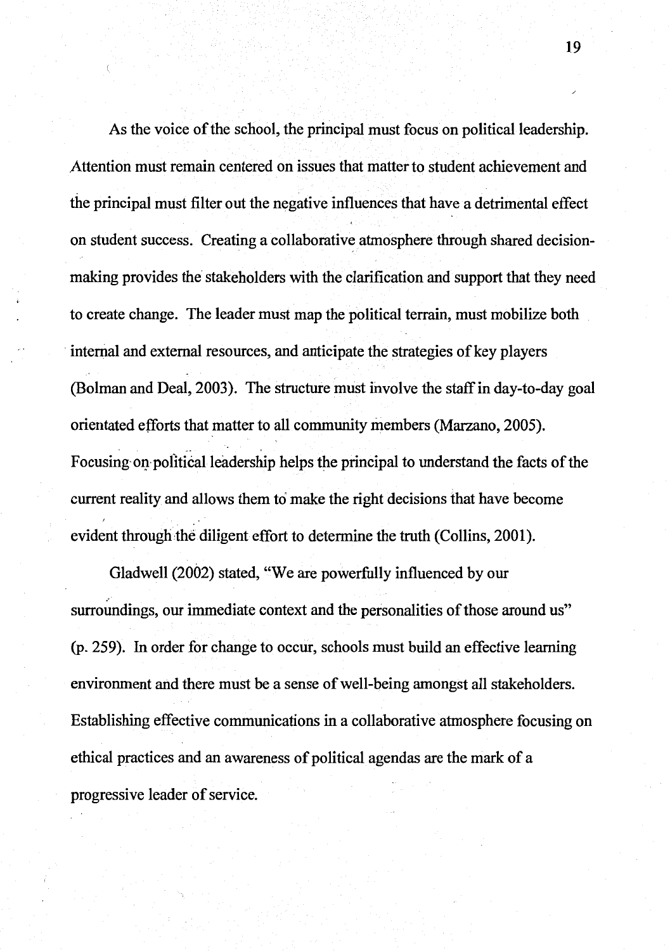As the voice of the school, the principal must focus on political leadership. ,Attention must remain centered on issues that matter to student achievement and the principal must filter out the negative influences that have a detrimental effect on student success. Creating a collaborative atmosphere through shared decisionmaking provides the stakeholders with the clarification and support that they need to create change. The leader must map the political terrain, must mobilize both internal and external resources, and anticipate the strategies of key players (Bolman and Deal, 2003). The structure must involve the staff in day-to-day goal orientated efforts that matter to all community members (Marzano, 2005). ~. ,, Focusing on political leadership helps the principal to understand the facts of the current reality and allows them to make the right decisions that have become evident through the diligent effort to determine the truth (Collins, 2001).

Gladwell (2002) stated, "We are powerfully influenced by our surroundings, our immediate context and the personalities of those around us" (p. 259). In order for change to occur, schools must build an effective learning environment and there must be a sense of well-being amongst all stakeholders. Establishing effective communications in a collaborative atmosphere focusing on ethical practices and an awareness of political agendas are the mark of a progressive leader of service.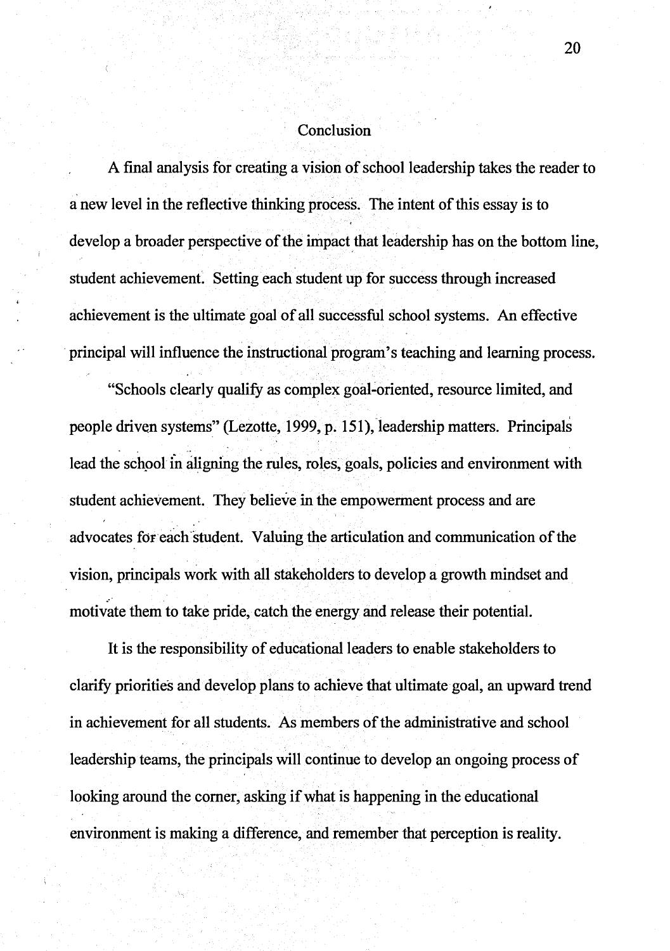#### **Conclusion**

A final analysis for creating a vision of school leadership takes the reader to a new level in the reflective thinking process. The intent of this essay is to develop a broader perspective of the impact that leadership has on the bottom line, student achievement. Setting each student up for success through increased achievement is the ultimate goal of all successful school systems. An effective principal will influence the instructional program's teaching and learning process.

"Schools clearly qualify as complex goal-oriented, resource limited, and people driven systems" (Lezotte, 1999, p. 151), leadership matters. Principals lead the school in aligning the rules, roles, goals, policies and environment with student achievement. They believe in the empowerment process and are advocates for each student. Valuing the articulation and communication of the vision, principals work with all stakeholders to develop a growth mindset and .. · motivate them to take pride, catch the energy and release their potential.

It is the responsibility of educational leaders to enable stakeholders to clarify priorities and develop plans to achieve that ultimate goal, an upward trend in achievement for all students. As members of the administrative and school leadership teams, the principals will continue to develop an ongoing process of looking around the comer, asking if what is happening in the educational environment is making a difference, and remember that perception is reality.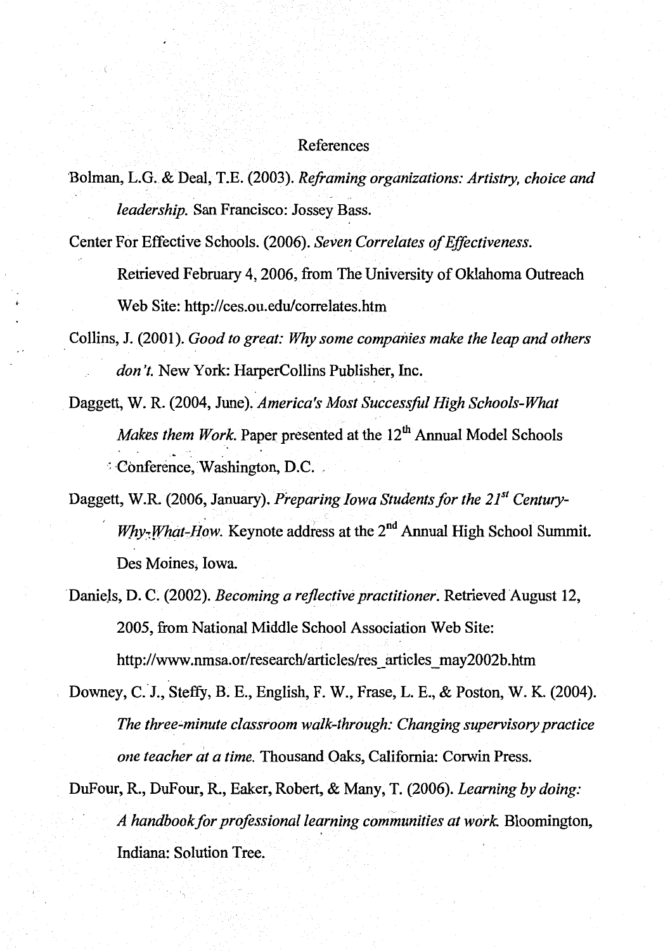#### References

Bolman, L.G. & Deal, T.E. (2003). *Reframing organizations: Artistry, choice and leadership.* San Francisco: Jossey Bass.

Center For Effective Schools. (2006). *Seven\_ Correlates of Effectiveness.* 

Retrieved February 4, 2006, from The University of Oklahoma Outreach Web Site: http://ces.ou.edu/correlates.htm

Collins, J. (2001). *Good to great: Why some companies make the leap and others don't.* New York: HarperCollins Publisher, Inc.

Daggett, W.R. (2004, June). *America's Most Successful High Schools-What Makes them Work.* Paper presented at the 12<sup>th</sup> Annual Model Schools : Conference, Washington, D.C.

Daggett, W.R. (2006, January). *Preparing Iowa Students for the 21<sup>st</sup> Century-Why-What-How.* Keynote address at the 2<sup>nd</sup> Annual High School Summit. Des Moines; Iowa.

Daniels, D. C. (2002). *Becoming a reflective practitioner.* Retrieved August 12, 2005, from National Middle School Association Web Site: http://www.nmsa.or/research/articles/res \_articles\_ may2002b.htm

Downey, C.'J., Steffy, B. E., English, F. W., Frase, L. E., & Poston, W. K. (2004). *The three-minute classroom walk-through: Changing supervisory practice one teacher at a time.* Thousand Oaks, California: Corwin Press.

DuFour, R., DuFour, R., Eaker, Robert, & Many, T. (2006). *Learning by doing: A handbook for professional learning communities at work* Bloomington, Indiana: Solution Tree.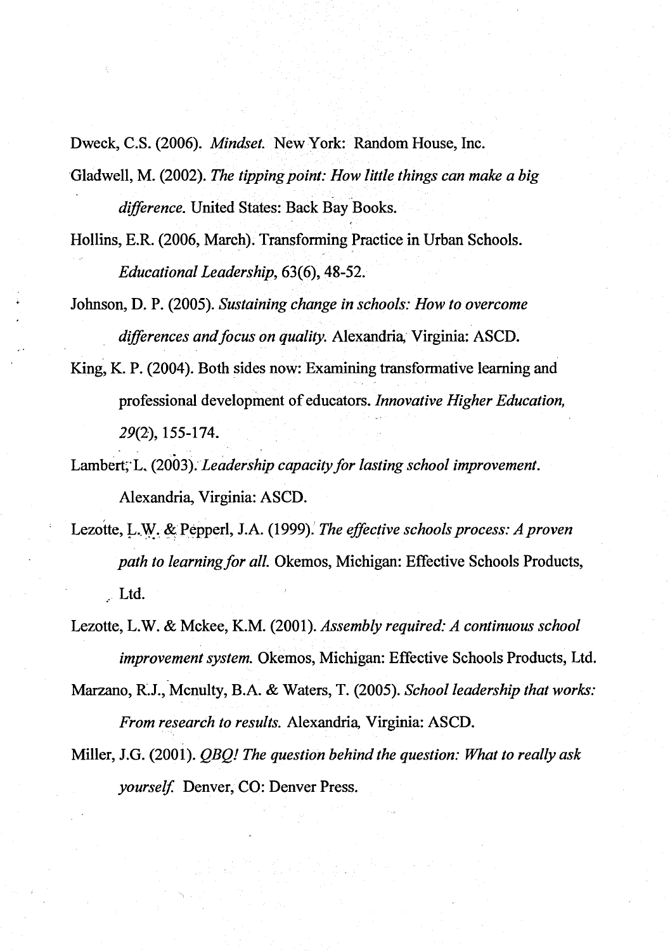Dweck, C.S. (2006). *Mindset.* New York: Random House, Inc.

Gladwell, M. (2002). *The tipping point: How little things can make a big*  - *difference.* United States: Back Bay Books.

Hollins, E.R. (2006, March). Transforming Practice in Urban Schools. *Educational Leadership,* 63(6), 48-52.

Johnson, D. P. (2005). *Sustaining change in schools: How to overcome differences and focus on quality.* Alexandria, Virginia: ASCD.

King, K. P. (2004). Both sides now: Examining transformative learning and professional development of educators. *Innovative Higher Education, 29(2),* 155-174.

- Lambert; L. (2003). Leadership capacity for lasting school improvement. Alexandria, Virginia: ASCD.
- Lezotte, L.W. & Pepperl, J.A. (1999). The effective schools process: A proven *path to learning/or all.* Okemos, Michigan: Effective Schools Products, .. Ltd.
- Lezotte, L.W. & Mckee, K.M. (2001). *Assembly required: A continuous school improvement system.* Okemos, Michigan: Effective Schools Products, Ltd.
- Marzano, R.J., Mcnulty, B.A. & Waters, T. (2005). *School leadership that works: From research to results.* Alexandria, Virginia: ASCD.
- Miller, J.G. (2001). *QBQ! The question behind the question: What to really ask yourself.* Denver, CO: Denver Press.